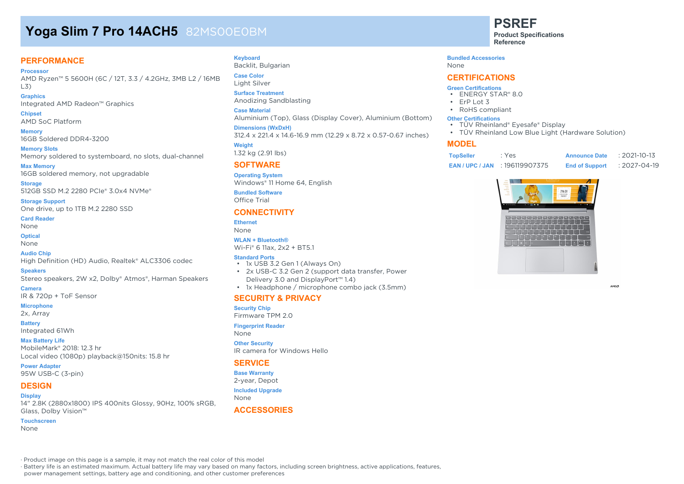# **Yoga Slim 7 Pro 14ACH5** 82MS00E0BM

## **PERFORMANCE**

**Processor** AMD Ryzen™ 5 5600H (6C / 12T, 3.3 / 4.2GHz, 3MB L2 / 16MB L3)

#### **Graphics** Integrated AMD Radeon™ Graphics

**Chipset** AMD SoC Platform

**Memory** 16GB Soldered DDR4-3200

**Memory Slots** Memory soldered to systemboard, no slots, dual-channel

**Max Memory** 16GB soldered memory, not upgradable

**Storage** 512GB SSD M.2 2280 PCIe® 3.0x4 NVMe®

**Storage Support** One drive, up to 1TB M.2 2280 SSD

**Card Reader**

None

**Optical**

None **Audio Chip**

High Definition (HD) Audio, Realtek® ALC3306 codec

**Speakers**

Stereo speakers, 2W x2, Dolby® Atmos®, Harman Speakers

**Camera** IR & 720p + ToF Sensor

**Microphone**

2x, Array

**Battery**

## Integrated 61Wh

**Max Battery Life** MobileMark® 2018: 12.3 hr Local video (1080p) playback@150nits: 15.8 hr

**Power Adapter** 95W USB-C (3-pin)

# **DESIGN**

**Display** 14" 2.8K (2880x1800) IPS 400nits Glossy, 90Hz, 100% sRGB, Glass, Dolby Vision™

#### **Touchscreen**

None

#### **Keyboard**

Backlit, Bulgarian **Case Color**

### Light Silver

**Surface Treatment** Anodizing Sandblasting

**Case Material**

Aluminium (Top), Glass (Display Cover), Aluminium (Bottom)

#### **Dimensions (WxDxH)**

312.4 x 221.4 x 14.6-16.9 mm (12.29 x 8.72 x 0.57-0.67 inches)

**Weight** 1.32 kg (2.91 lbs)

#### **SOFTWARE**

**Operating System** Windows® 11 Home 64, English

**Bundled Software** Office Trial

### **CONNECTIVITY**

#### **Ethernet**

None

#### **WLAN + Bluetooth®**

Wi-Fi® 6 11ax, 2x2 + BT5.1

#### **Standard Ports**

- 1x USB 3.2 Gen 1 (Always On)
- 2x USB-C 3.2 Gen 2 (support data transfer, Power Delivery 3.0 and DisplayPort™ 1.4)
- 1x Headphone / microphone combo jack (3.5mm)

#### **SECURITY & PRIVACY**

**Security Chip**

Firmware TPM 2.0

**Fingerprint Reader**

None

#### **Other Security** IR camera for Windows Hello

**SERVICE**

**Base Warranty** 2-year, Depot

**Included Upgrade**

None

#### **ACCESSORIES**

**PSREF**

**Product Specifications Reference**

#### **Bundled Accessories**

None

### **CERTIFICATIONS**

#### **Green Certifications**

- ENERGY STAR® 8.0
- ErP Lot 3
- RoHS compliant

#### **Other Certifications**

- TÜV Rheinland® Eyesafe® Display
- TÜV Rheinland Low Blue Light (Hardware Solution)

### **MODEL**

| <b>TopSeller</b> | : Yes          | <b>Announce Date</b>  | $: 2021 - 10 - 13$ |
|------------------|----------------|-----------------------|--------------------|
| EAN / UPC / JAN  | : 196119907375 | <b>End of Support</b> | $: 2027 - 04 - 19$ |



AMDA

· Product image on this page is a sample, it may not match the real color of this model

· Battery life is an estimated maximum. Actual battery life may vary based on many factors, including screen brightness, active applications, features,

power management settings, battery age and conditioning, and other customer preferences